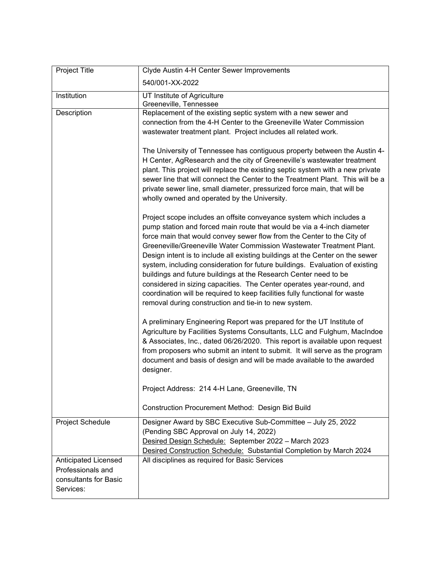| Project Title                                                                   | Clyde Austin 4-H Center Sewer Improvements                                                                                                                                                                                                                                                                                                                                                                                                                                                                                                                                                                                                                                                                                                            |
|---------------------------------------------------------------------------------|-------------------------------------------------------------------------------------------------------------------------------------------------------------------------------------------------------------------------------------------------------------------------------------------------------------------------------------------------------------------------------------------------------------------------------------------------------------------------------------------------------------------------------------------------------------------------------------------------------------------------------------------------------------------------------------------------------------------------------------------------------|
|                                                                                 | 540/001-XX-2022                                                                                                                                                                                                                                                                                                                                                                                                                                                                                                                                                                                                                                                                                                                                       |
| Institution                                                                     | UT Institute of Agriculture<br>Greeneville, Tennessee                                                                                                                                                                                                                                                                                                                                                                                                                                                                                                                                                                                                                                                                                                 |
| Description                                                                     | Replacement of the existing septic system with a new sewer and<br>connection from the 4-H Center to the Greeneville Water Commission<br>wastewater treatment plant. Project includes all related work.                                                                                                                                                                                                                                                                                                                                                                                                                                                                                                                                                |
|                                                                                 | The University of Tennessee has contiguous property between the Austin 4-<br>H Center, AgResearch and the city of Greeneville's wastewater treatment<br>plant. This project will replace the existing septic system with a new private<br>sewer line that will connect the Center to the Treatment Plant. This will be a<br>private sewer line, small diameter, pressurized force main, that will be<br>wholly owned and operated by the University.                                                                                                                                                                                                                                                                                                  |
|                                                                                 | Project scope includes an offsite conveyance system which includes a<br>pump station and forced main route that would be via a 4-inch diameter<br>force main that would convey sewer flow from the Center to the City of<br>Greeneville/Greeneville Water Commission Wastewater Treatment Plant.<br>Design intent is to include all existing buildings at the Center on the sewer<br>system, including consideration for future buildings. Evaluation of existing<br>buildings and future buildings at the Research Center need to be<br>considered in sizing capacities. The Center operates year-round, and<br>coordination will be required to keep facilities fully functional for waste<br>removal during construction and tie-in to new system. |
|                                                                                 | A preliminary Engineering Report was prepared for the UT Institute of<br>Agriculture by Facilities Systems Consultants, LLC and Fulghum, MacIndoe<br>& Associates, Inc., dated 06/26/2020. This report is available upon request<br>from proposers who submit an intent to submit. It will serve as the program<br>document and basis of design and will be made available to the awarded<br>designer.                                                                                                                                                                                                                                                                                                                                                |
|                                                                                 | Project Address: 214 4-H Lane, Greeneville, TN                                                                                                                                                                                                                                                                                                                                                                                                                                                                                                                                                                                                                                                                                                        |
|                                                                                 | Construction Procurement Method: Design Bid Build                                                                                                                                                                                                                                                                                                                                                                                                                                                                                                                                                                                                                                                                                                     |
| Project Schedule                                                                | Designer Award by SBC Executive Sub-Committee - July 25, 2022<br>(Pending SBC Approval on July 14, 2022)<br>Desired Design Schedule: September 2022 - March 2023<br>Desired Construction Schedule: Substantial Completion by March 2024                                                                                                                                                                                                                                                                                                                                                                                                                                                                                                               |
| Anticipated Licensed<br>Professionals and<br>consultants for Basic<br>Services: | All disciplines as required for Basic Services                                                                                                                                                                                                                                                                                                                                                                                                                                                                                                                                                                                                                                                                                                        |